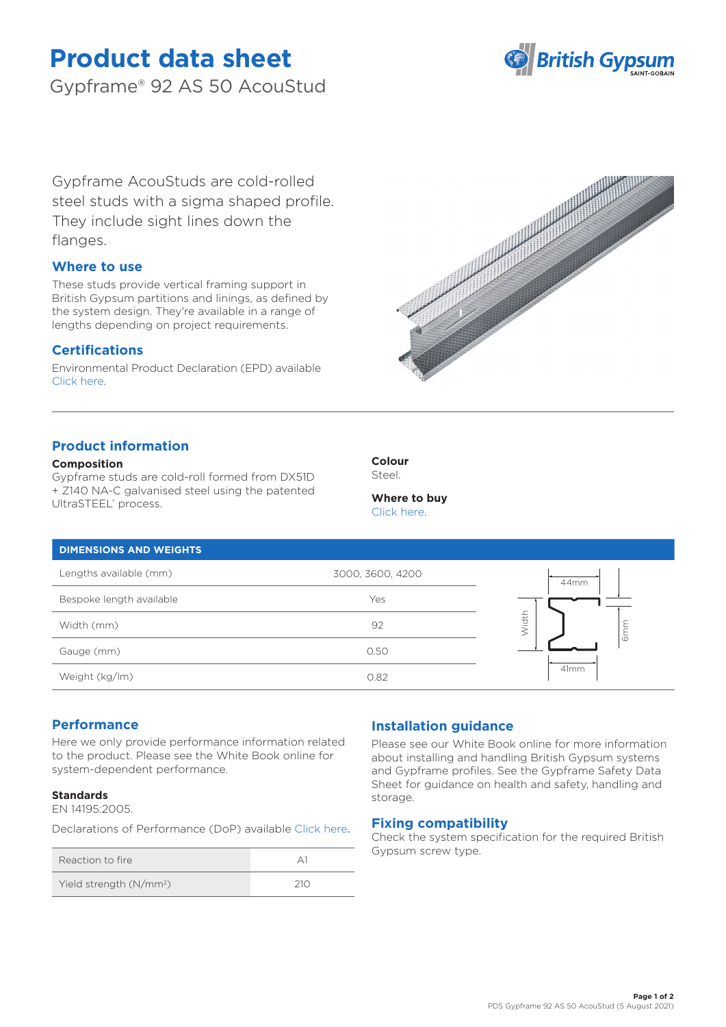# **Product data sheet**

Gypframe® 92 AS 50 AcouStud



Gypframe AcouStuds are cold-rolled steel studs with a sigma shaped profile. They include sight lines down the flanges.

# **Where to use**

These studs provide vertical framing support in British Gypsum partitions and linings, as defined by the system design. They're available in a range of lengths depending on project requirements.

# **Certifications**

Environmental Product Declaration (EPD) available [Click here.](https://www.british-gypsum.com/EPD)



# **Product information**

#### **Composition**

Gypframe studs are cold-roll formed from DX51D + Z140 NA-C galvanised steel using the patented UltraSTEEL® process.



#### **Where to buy** [Click here.](https://www.british-gypsum.com/stockist-locator)

# **DIMENSIONS AND WEIGHTS**

| Lengths available (mm)   | 3000, 3600, 4200 | 44mm                     |
|--------------------------|------------------|--------------------------|
| Bespoke length available | Yes              | $\overline{\phantom{0}}$ |
| Width (mm)               | 92               | <i>l</i> idth            |
| Gauge (mm)               | 0.50             | $\circ$                  |
| Weight (kg/lm)           | 0.82             | 41mm                     |

### **Performance**

Here we only provide performance information related to the product. Please see the White Book online for system-dependent performance.

#### **Standards**

EN 14195:2005.

Declarations of Performance (DoP) available [Click here](https://www.british-gypsum.com/DoP).

| Reaction to fire                    |     |
|-------------------------------------|-----|
| Yield strength (N/mm <sup>2</sup> ) | 210 |

# **Installation guidance**

Please see our White Book online for more information about installing and handling British Gypsum systems and Gypframe profiles. See the Gypframe Safety Data Sheet for guidance on health and safety, handling and storage.

### **Fixing compatibility**

Check the system specification for the required British Gypsum screw type.